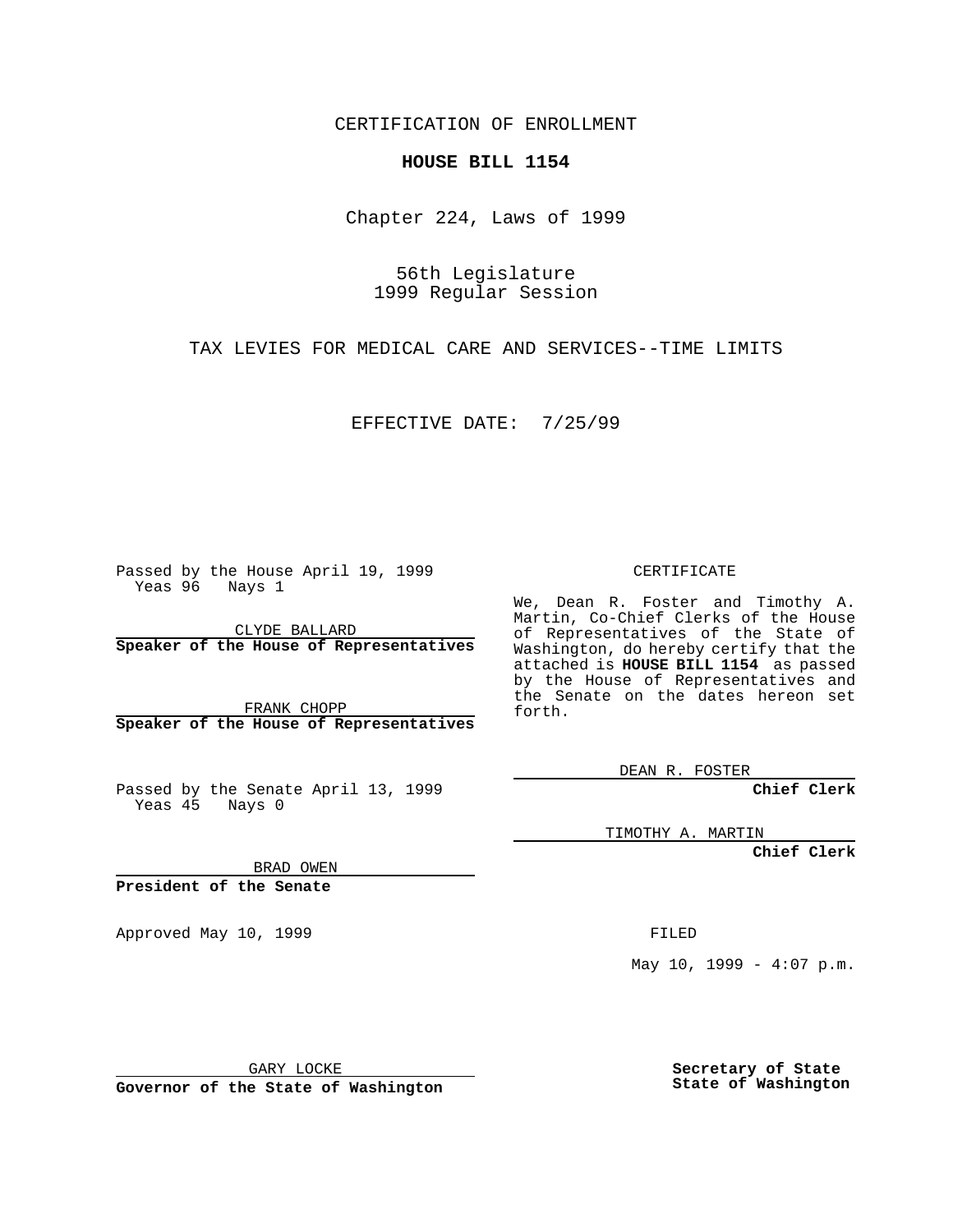CERTIFICATION OF ENROLLMENT

## **HOUSE BILL 1154**

Chapter 224, Laws of 1999

56th Legislature 1999 Regular Session

TAX LEVIES FOR MEDICAL CARE AND SERVICES--TIME LIMITS

EFFECTIVE DATE: 7/25/99

Passed by the House April 19, 1999 Yeas 96 Nays 1

CLYDE BALLARD **Speaker of the House of Representatives**

FRANK CHOPP **Speaker of the House of Representatives**

Passed by the Senate April 13, 1999 Yeas 45 Nays 0

CERTIFICATE

We, Dean R. Foster and Timothy A. Martin, Co-Chief Clerks of the House of Representatives of the State of Washington, do hereby certify that the attached is **HOUSE BILL 1154** as passed by the House of Representatives and the Senate on the dates hereon set forth.

DEAN R. FOSTER

**Chief Clerk**

TIMOTHY A. MARTIN

**Chief Clerk**

BRAD OWEN

**President of the Senate**

Approved May 10, 1999 **FILED** 

May  $10$ ,  $1999 - 4:07$  p.m.

GARY LOCKE

**Governor of the State of Washington**

**Secretary of State State of Washington**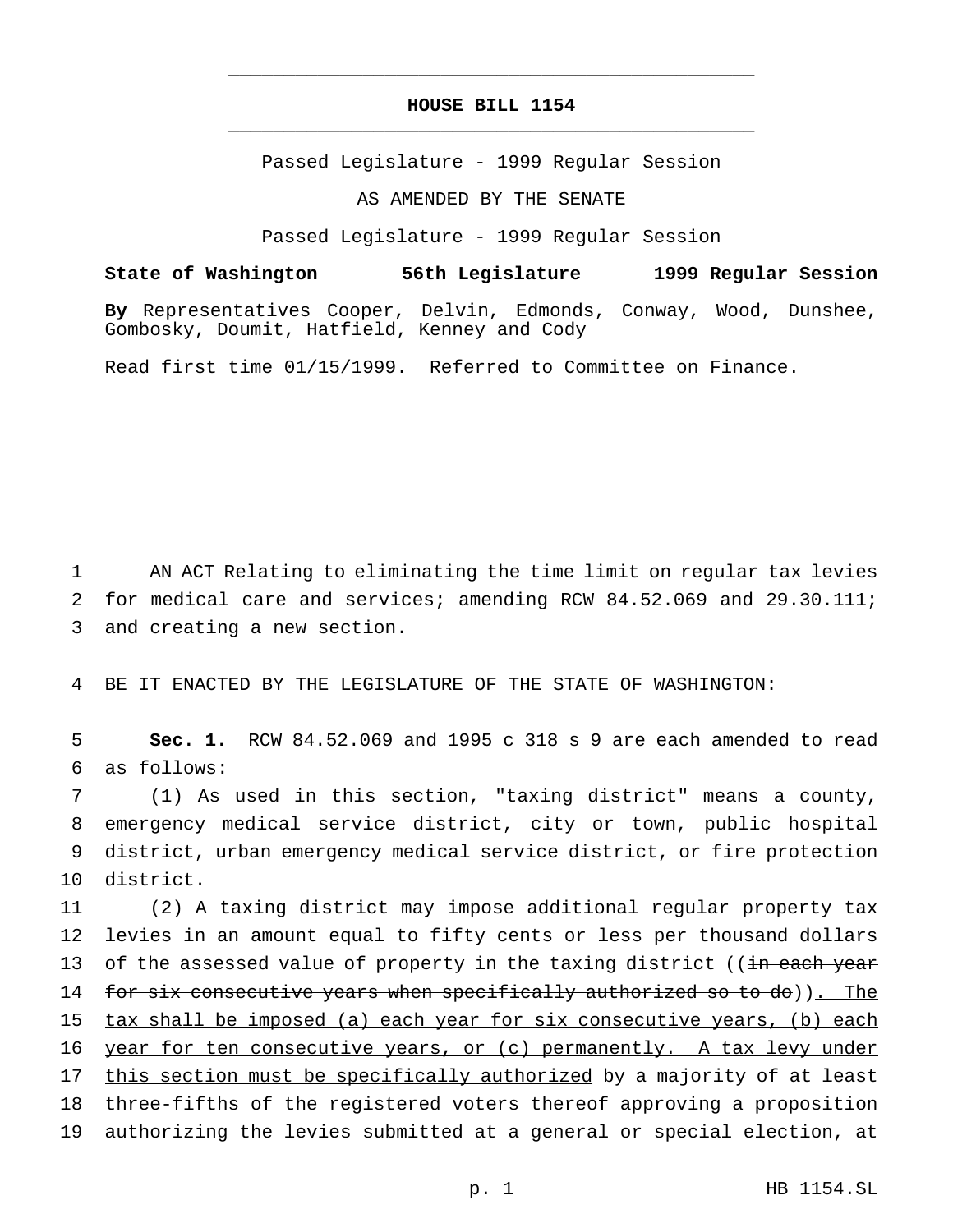## **HOUSE BILL 1154** \_\_\_\_\_\_\_\_\_\_\_\_\_\_\_\_\_\_\_\_\_\_\_\_\_\_\_\_\_\_\_\_\_\_\_\_\_\_\_\_\_\_\_\_\_\_\_

\_\_\_\_\_\_\_\_\_\_\_\_\_\_\_\_\_\_\_\_\_\_\_\_\_\_\_\_\_\_\_\_\_\_\_\_\_\_\_\_\_\_\_\_\_\_\_

Passed Legislature - 1999 Regular Session

AS AMENDED BY THE SENATE

Passed Legislature - 1999 Regular Session

**State of Washington 56th Legislature 1999 Regular Session**

**By** Representatives Cooper, Delvin, Edmonds, Conway, Wood, Dunshee, Gombosky, Doumit, Hatfield, Kenney and Cody

Read first time 01/15/1999. Referred to Committee on Finance.

1 AN ACT Relating to eliminating the time limit on regular tax levies 2 for medical care and services; amending RCW 84.52.069 and 29.30.111; 3 and creating a new section.

4 BE IT ENACTED BY THE LEGISLATURE OF THE STATE OF WASHINGTON:

5 **Sec. 1.** RCW 84.52.069 and 1995 c 318 s 9 are each amended to read 6 as follows:

 (1) As used in this section, "taxing district" means a county, emergency medical service district, city or town, public hospital district, urban emergency medical service district, or fire protection district.

11 (2) A taxing district may impose additional regular property tax 12 levies in an amount equal to fifty cents or less per thousand dollars 13 of the assessed value of property in the taxing district ((in each year 14 for six consecutive years when specifically authorized so to do)). The 15 tax shall be imposed (a) each year for six consecutive years, (b) each 16 year for ten consecutive years, or (c) permanently. A tax levy under 17 this section must be specifically authorized by a majority of at least 18 three-fifths of the registered voters thereof approving a proposition 19 authorizing the levies submitted at a general or special election, at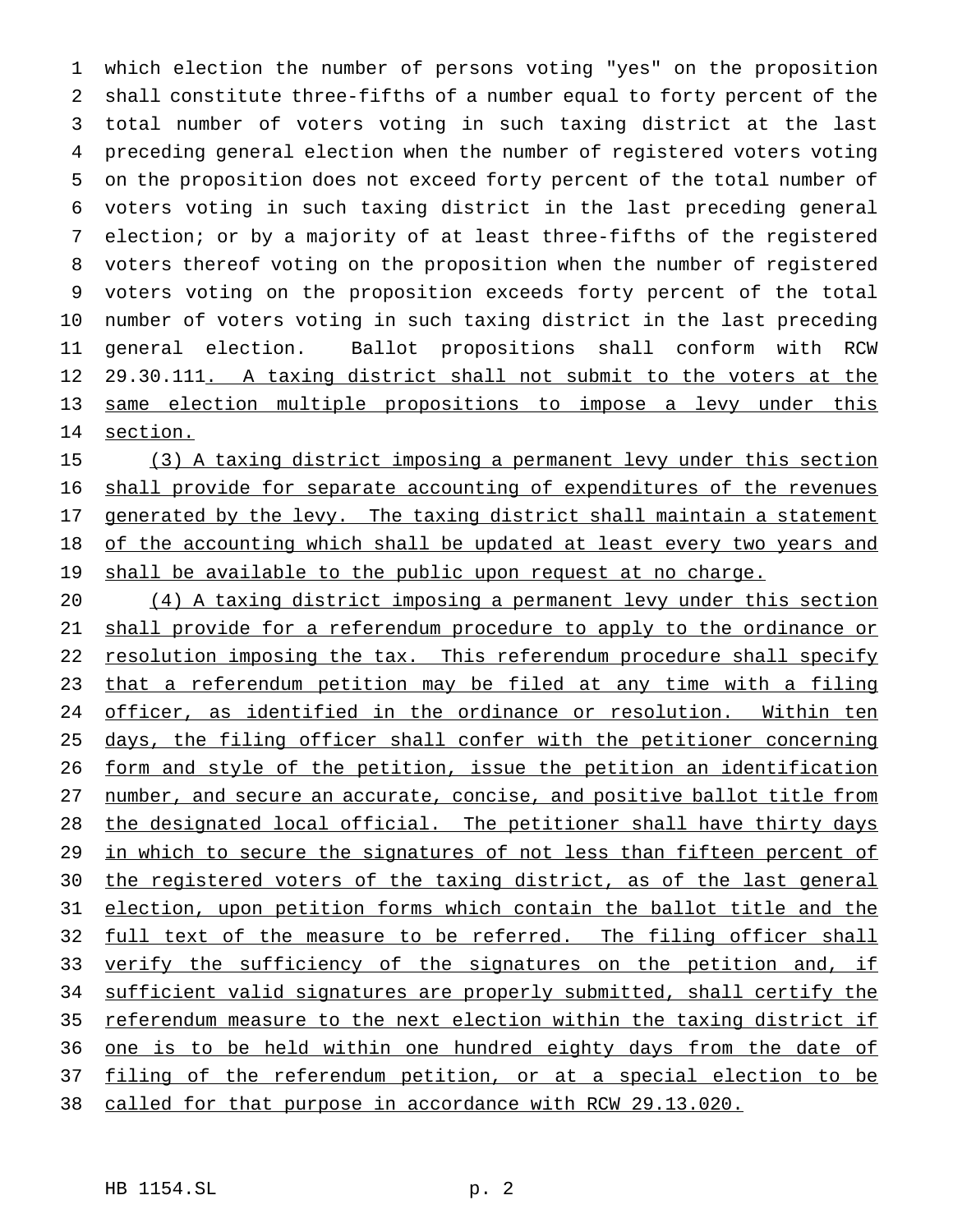which election the number of persons voting "yes" on the proposition shall constitute three-fifths of a number equal to forty percent of the total number of voters voting in such taxing district at the last preceding general election when the number of registered voters voting on the proposition does not exceed forty percent of the total number of voters voting in such taxing district in the last preceding general election; or by a majority of at least three-fifths of the registered voters thereof voting on the proposition when the number of registered voters voting on the proposition exceeds forty percent of the total number of voters voting in such taxing district in the last preceding general election. Ballot propositions shall conform with RCW 12 29.30.111. A taxing district shall not submit to the voters at the same election multiple propositions to impose a levy under this section.

 (3) A taxing district imposing a permanent levy under this section shall provide for separate accounting of expenditures of the revenues 17 generated by the levy. The taxing district shall maintain a statement 18 of the accounting which shall be updated at least every two years and 19 shall be available to the public upon request at no charge.

 (4) A taxing district imposing a permanent levy under this section shall provide for a referendum procedure to apply to the ordinance or 22 resolution imposing the tax. This referendum procedure shall specify that a referendum petition may be filed at any time with a filing officer, as identified in the ordinance or resolution. Within ten 25 days, the filing officer shall confer with the petitioner concerning form and style of the petition, issue the petition an identification 27 number, and secure an accurate, concise, and positive ballot title from 28 the designated local official. The petitioner shall have thirty days 29 in which to secure the signatures of not less than fifteen percent of 30 the registered voters of the taxing district, as of the last general election, upon petition forms which contain the ballot title and the 32 full text of the measure to be referred. The filing officer shall 33 verify the sufficiency of the signatures on the petition and, if sufficient valid signatures are properly submitted, shall certify the referendum measure to the next election within the taxing district if 36 one is to be held within one hundred eighty days from the date of 37 filing of the referendum petition, or at a special election to be called for that purpose in accordance with RCW 29.13.020.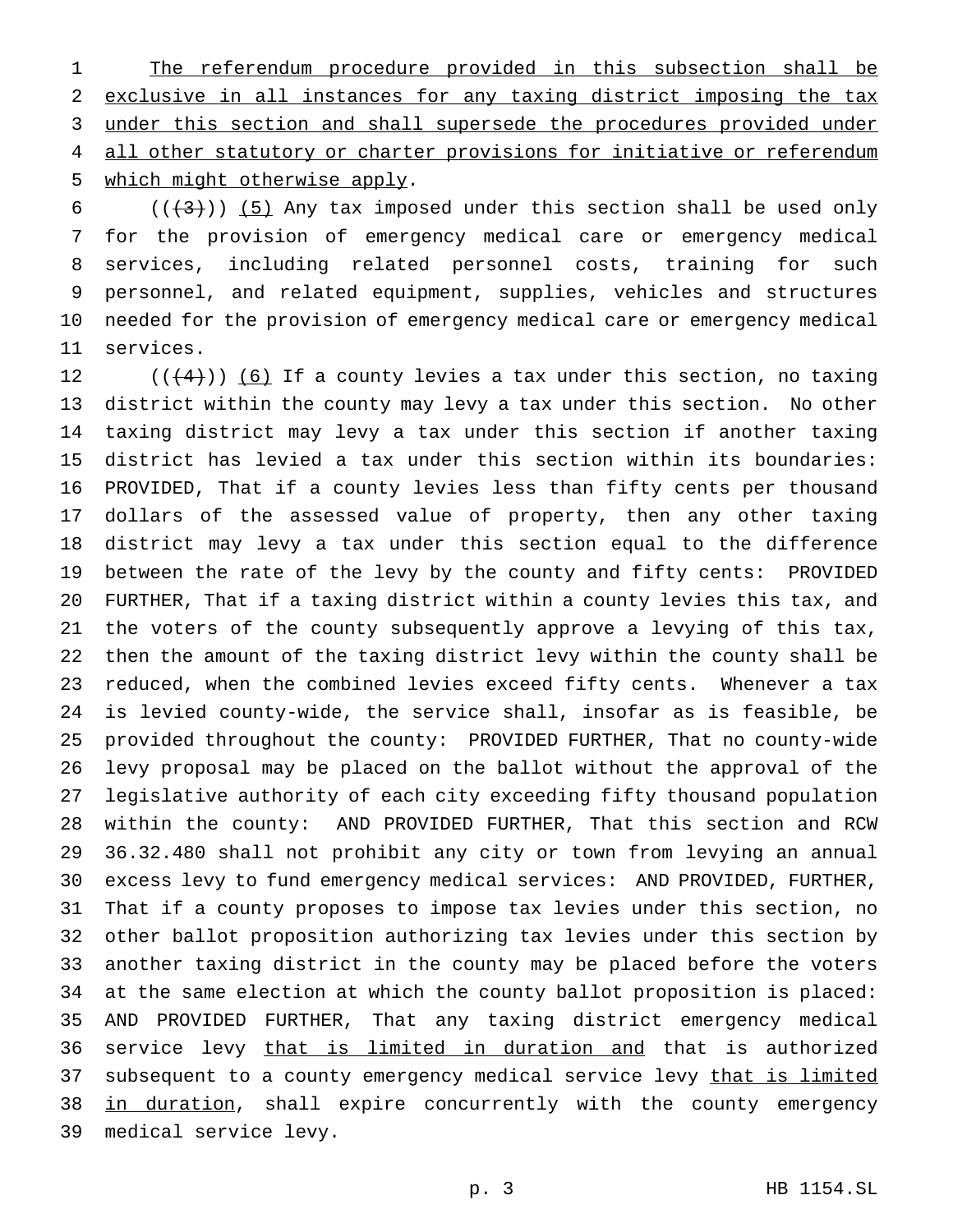1 The referendum procedure provided in this subsection shall be exclusive in all instances for any taxing district imposing the tax under this section and shall supersede the procedures provided under 4 all other statutory or charter provisions for initiative or referendum which might otherwise apply.

 $((+3+))$  (5) Any tax imposed under this section shall be used only for the provision of emergency medical care or emergency medical services, including related personnel costs, training for such personnel, and related equipment, supplies, vehicles and structures needed for the provision of emergency medical care or emergency medical services.

 $((+4))$  (6) If a county levies a tax under this section, no taxing district within the county may levy a tax under this section. No other taxing district may levy a tax under this section if another taxing district has levied a tax under this section within its boundaries: PROVIDED, That if a county levies less than fifty cents per thousand dollars of the assessed value of property, then any other taxing district may levy a tax under this section equal to the difference between the rate of the levy by the county and fifty cents: PROVIDED FURTHER, That if a taxing district within a county levies this tax, and the voters of the county subsequently approve a levying of this tax, then the amount of the taxing district levy within the county shall be reduced, when the combined levies exceed fifty cents. Whenever a tax is levied county-wide, the service shall, insofar as is feasible, be provided throughout the county: PROVIDED FURTHER, That no county-wide levy proposal may be placed on the ballot without the approval of the legislative authority of each city exceeding fifty thousand population within the county: AND PROVIDED FURTHER, That this section and RCW 36.32.480 shall not prohibit any city or town from levying an annual excess levy to fund emergency medical services: AND PROVIDED, FURTHER, That if a county proposes to impose tax levies under this section, no other ballot proposition authorizing tax levies under this section by another taxing district in the county may be placed before the voters at the same election at which the county ballot proposition is placed: AND PROVIDED FURTHER, That any taxing district emergency medical 36 service levy that is limited in duration and that is authorized 37 subsequent to a county emergency medical service levy that is limited 38 in duration, shall expire concurrently with the county emergency medical service levy.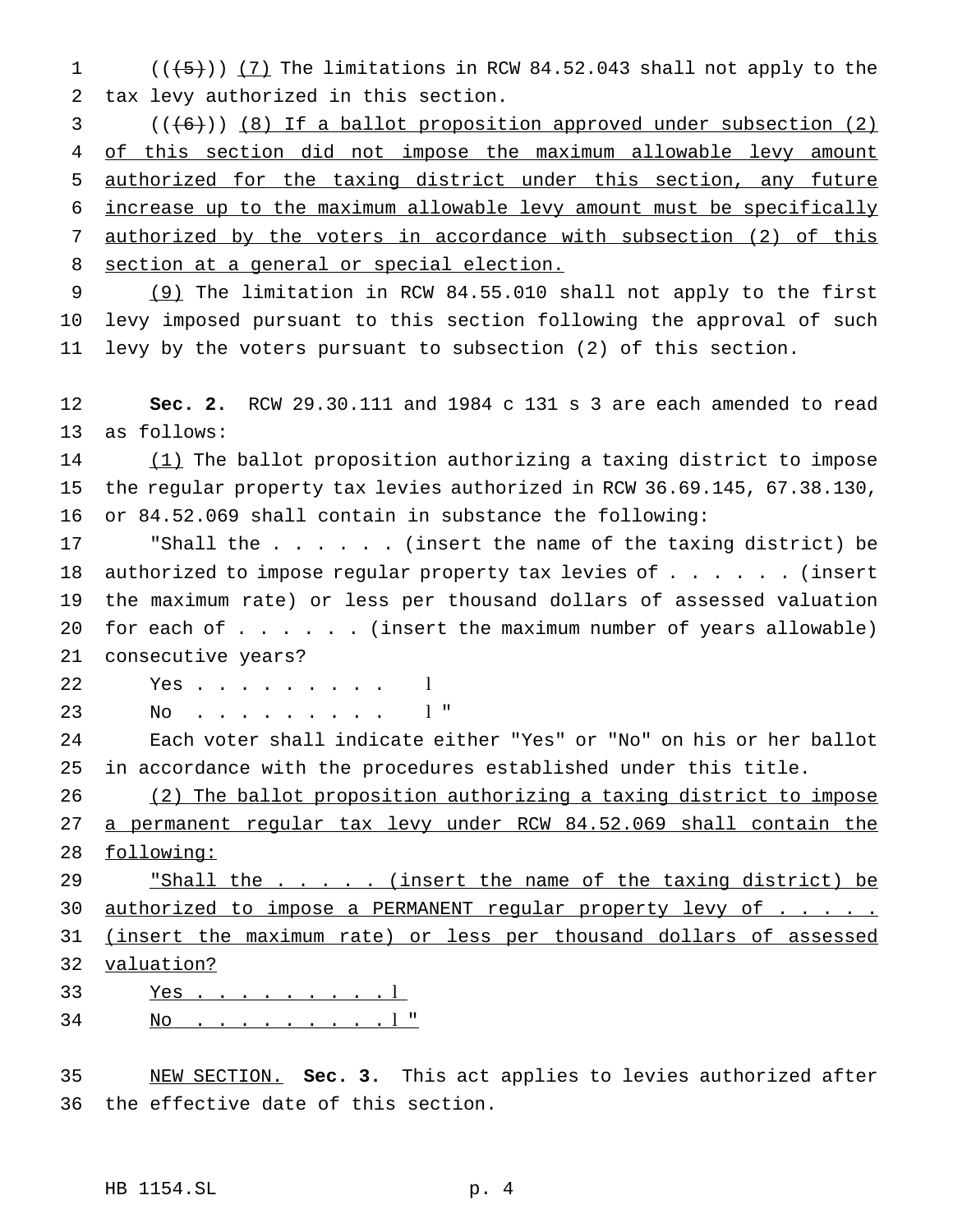1  $((+5))$   $(7)$  The limitations in RCW 84.52.043 shall not apply to the tax levy authorized in this section.

 (((6))) (8) If a ballot proposition approved under subsection (2) 4 of this section did not impose the maximum allowable levy amount authorized for the taxing district under this section, any future increase up to the maximum allowable levy amount must be specifically authorized by the voters in accordance with subsection (2) of this 8 section at a general or special election.

 (9) The limitation in RCW 84.55.010 shall not apply to the first levy imposed pursuant to this section following the approval of such levy by the voters pursuant to subsection (2) of this section.

 **Sec. 2.** RCW 29.30.111 and 1984 c 131 s 3 are each amended to read as follows:

14 (1) The ballot proposition authorizing a taxing district to impose the regular property tax levies authorized in RCW 36.69.145, 67.38.130, or 84.52.069 shall contain in substance the following:

17 "Shall the . . . . . (insert the name of the taxing district) be 18 authorized to impose regular property tax levies of . . . . . . (insert the maximum rate) or less per thousand dollars of assessed valuation 20 for each of  $\dots$ .... (insert the maximum number of years allowable) consecutive years?

Yes . . . . . . . . . l

No . . . . . . . . . l "

 Each voter shall indicate either "Yes" or "No" on his or her ballot in accordance with the procedures established under this title.

 (2) The ballot proposition authorizing a taxing district to impose a permanent regular tax levy under RCW 84.52.069 shall contain the 28 <u>following:</u>

29 Thall the . . . . (insert the name of the taxing district) be 30 authorized to impose a PERMANENT regular property levy of . . . . (insert the maximum rate) or less per thousand dollars of assessed valuation?

- 33 <u>Yes . . . . . . . . 1</u>
- No . . . . . . . . . l "

 NEW SECTION. **Sec. 3.** This act applies to levies authorized after the effective date of this section.